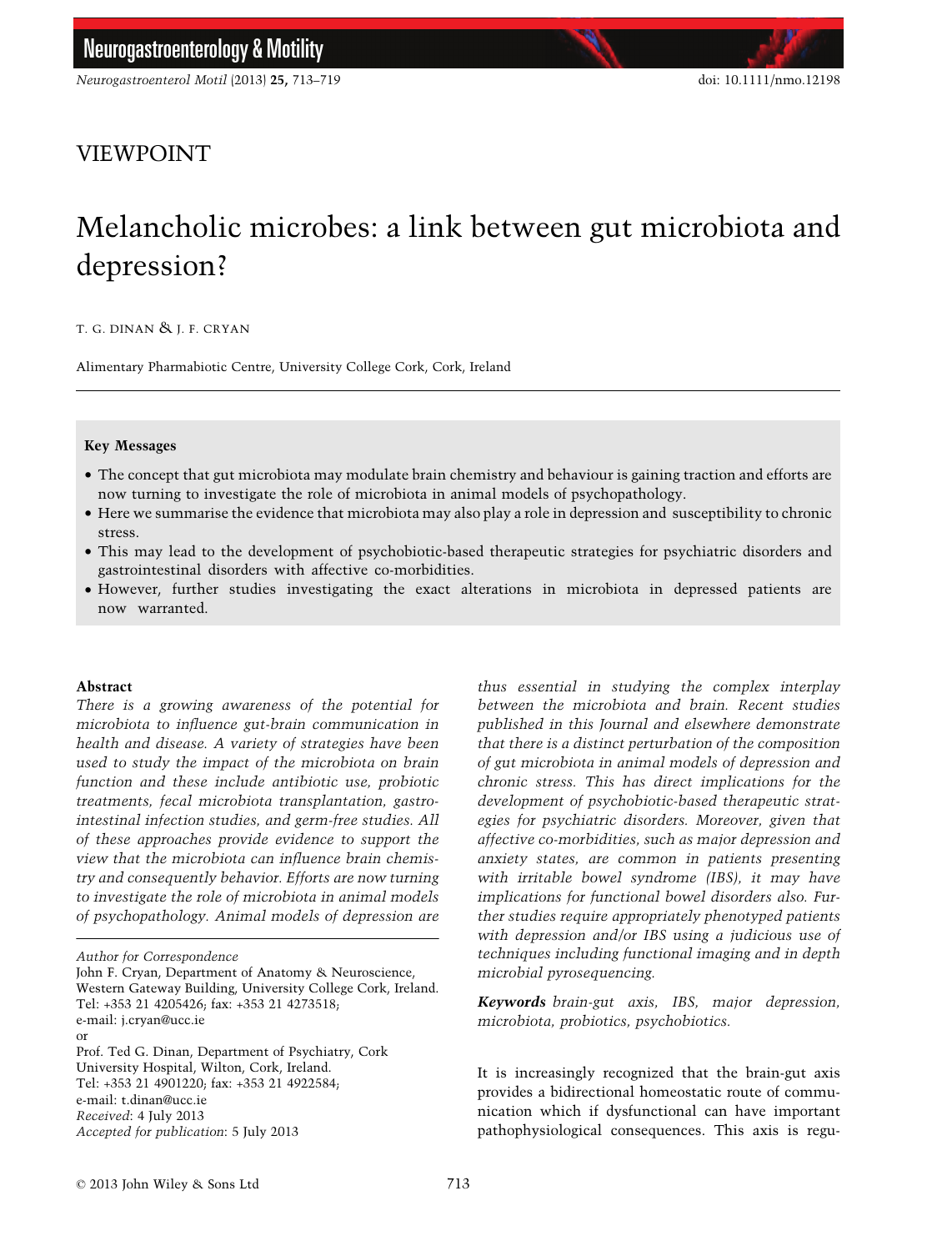# VIEWPOINT

# Melancholic microbes: a link between gut microbiota and depression?

T. G. DINAN & J. F. CRYAN

Alimentary Pharmabiotic Centre, University College Cork, Cork, Ireland

#### Key Messages

- The concept that gut microbiota may modulate brain chemistry and behaviour is gaining traction and efforts are now turning to investigate the role of microbiota in animal models of psychopathology.
- Here we summarise the evidence that microbiota may also play a role in depression and susceptibility to chronic stress.
- This may lead to the development of psychobiotic-based therapeutic strategies for psychiatric disorders and gastrointestinal disorders with affective co-morbidities.
- However, further studies investigating the exact alterations in microbiota in depressed patients are now warranted.

#### Abstract

There is a growing awareness of the potential for microbiota to influence gut-brain communication in health and disease. A variety of strategies have been used to study the impact of the microbiota on brain function and these include antibiotic use, probiotic treatments, fecal microbiota transplantation, gastrointestinal infection studies, and germ-free studies. All of these approaches provide evidence to support the view that the microbiota can influence brain chemistry and consequently behavior. Efforts are now turning to investigate the role of microbiota in animal models of psychopathology. Animal models of depression are

John F. Cryan, Department of Anatomy & Neuroscience, Western Gateway Building, University College Cork, Ireland. Tel: +353 21 4205426; fax: +353 21 4273518; e-mail: j.cryan@ucc.ie or

Prof. Ted G. Dinan, Department of Psychiatry, Cork University Hospital, Wilton, Cork, Ireland. Tel: +353 21 4901220; fax: +353 21 4922584; e-mail: t.dinan@ucc.ie Received: 4 July 2013 Accepted for publication: 5 July 2013

thus essential in studying the complex interplay between the microbiota and brain. Recent studies published in this Journal and elsewhere demonstrate that there is a distinct perturbation of the composition of gut microbiota in animal models of depression and chronic stress. This has direct implications for the development of psychobiotic-based therapeutic strategies for psychiatric disorders. Moreover, given that affective co-morbidities, such as major depression and anxiety states, are common in patients presenting with irritable bowel syndrome (IBS), it may have implications for functional bowel disorders also. Further studies require appropriately phenotyped patients with depression and/or IBS using a judicious use of techniques including functional imaging and in depth microbial pyrosequencing.

Keywords brain-gut axis, IBS, major depression, microbiota, probiotics, psychobiotics.

It is increasingly recognized that the brain-gut axis provides a bidirectional homeostatic route of communication which if dysfunctional can have important pathophysiological consequences. This axis is regu-

Author for Correspondence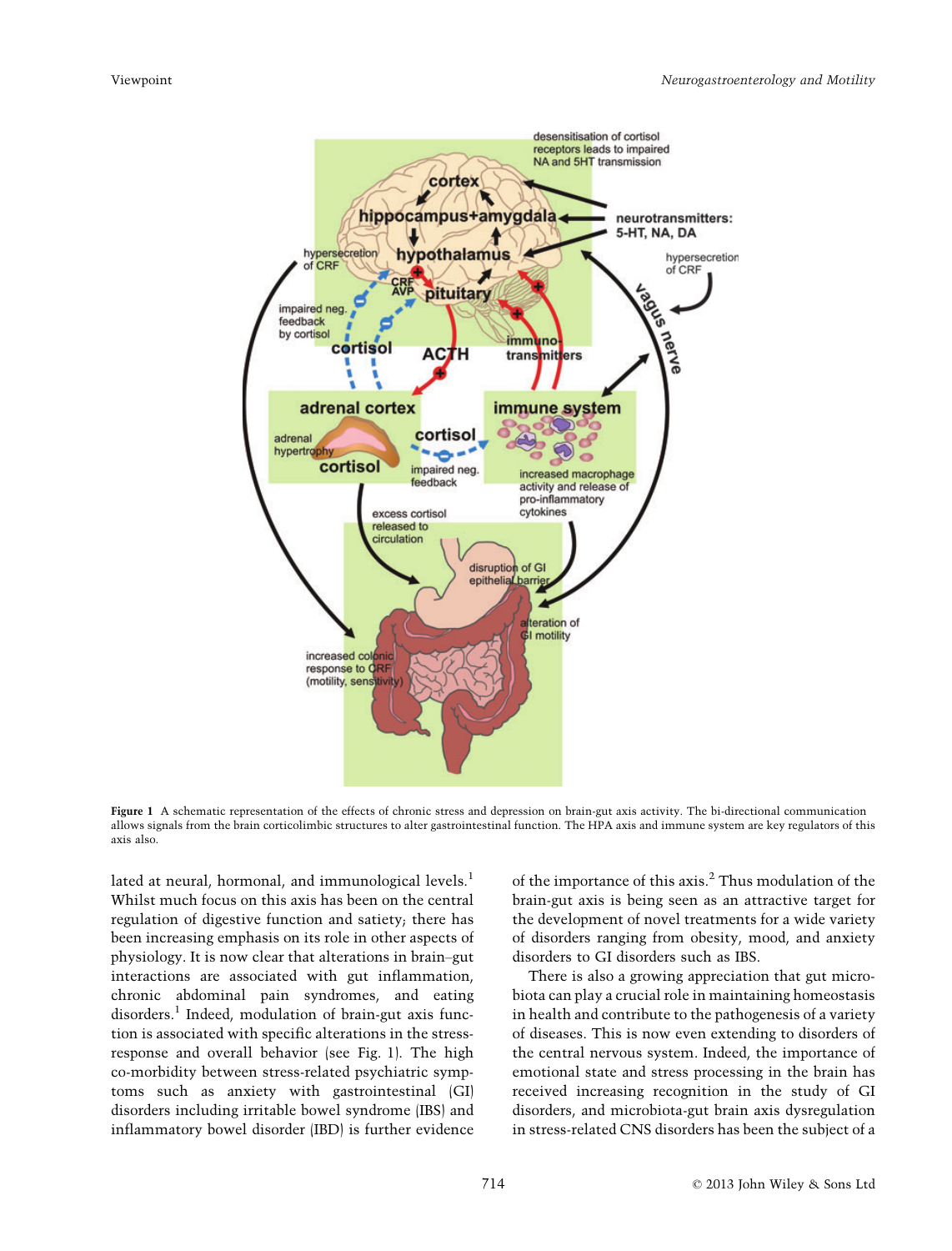

Figure 1 A schematic representation of the effects of chronic stress and depression on brain-gut axis activity. The bi-directional communication allows signals from the brain corticolimbic structures to alter gastrointestinal function. The HPA axis and immune system are key regulators of this axis also.

lated at neural, hormonal, and immunological levels.<sup>1</sup> Whilst much focus on this axis has been on the central regulation of digestive function and satiety; there has been increasing emphasis on its role in other aspects of physiology. It is now clear that alterations in brain–gut interactions are associated with gut inflammation, chronic abdominal pain syndromes, and eating disorders.<sup>1</sup> Indeed, modulation of brain-gut axis function is associated with specific alterations in the stressresponse and overall behavior (see Fig. 1). The high co-morbidity between stress-related psychiatric symptoms such as anxiety with gastrointestinal (GI) disorders including irritable bowel syndrome (IBS) and inflammatory bowel disorder (IBD) is further evidence

of the importance of this axis.<sup>2</sup> Thus modulation of the brain-gut axis is being seen as an attractive target for the development of novel treatments for a wide variety of disorders ranging from obesity, mood, and anxiety disorders to GI disorders such as IBS.

There is also a growing appreciation that gut microbiota can play a crucial role in maintaining homeostasis in health and contribute to the pathogenesis of a variety of diseases. This is now even extending to disorders of the central nervous system. Indeed, the importance of emotional state and stress processing in the brain has received increasing recognition in the study of GI disorders, and microbiota-gut brain axis dysregulation in stress-related CNS disorders has been the subject of a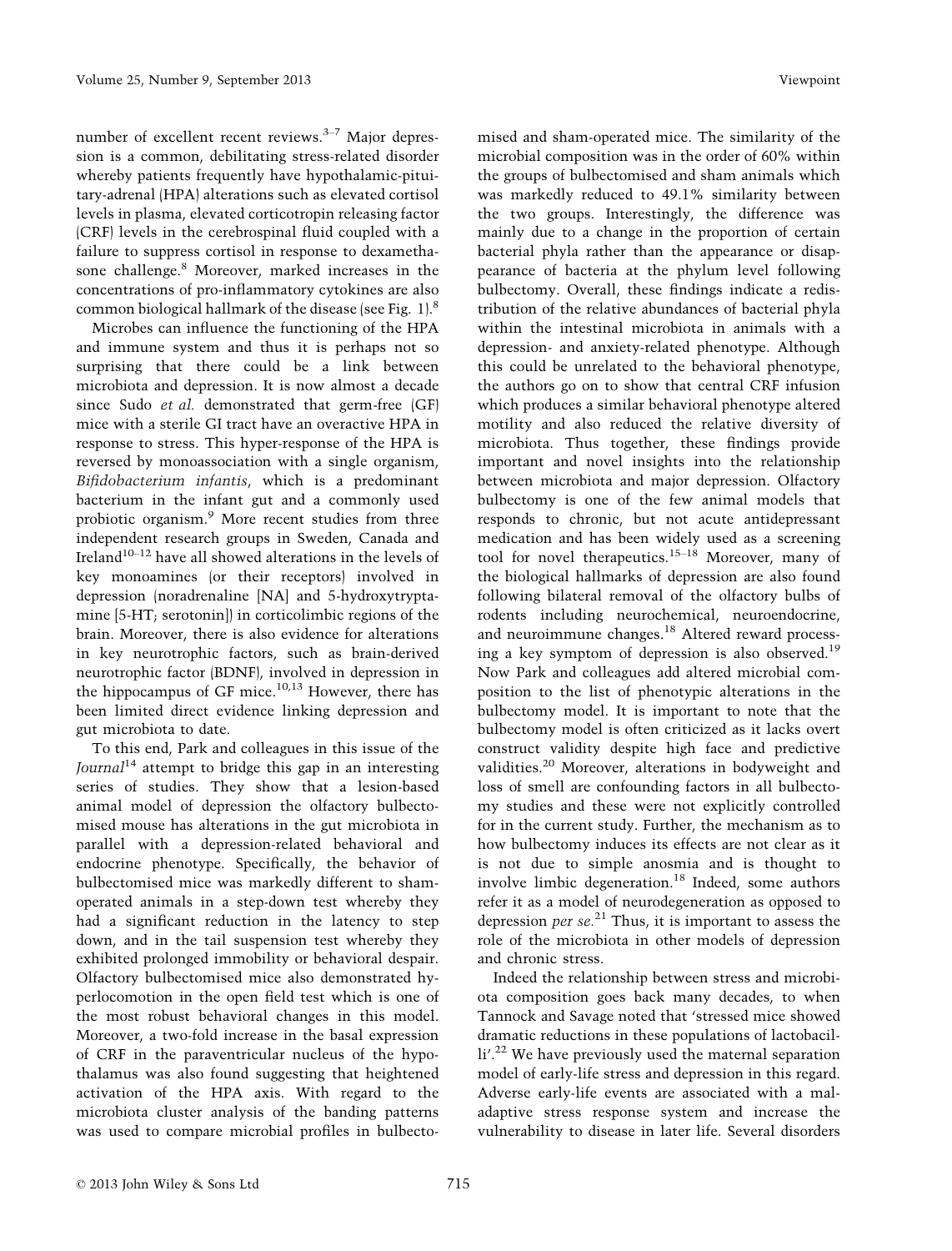number of excellent recent reviews. $3-7$  Major depression is a common, debilitating stress-related disorder whereby patients frequently have hypothalamic-pituitary-adrenal (HPA) alterations such as elevated cortisol levels in plasma, elevated corticotropin releasing factor (CRF) levels in the cerebrospinal fluid coupled with a failure to suppress cortisol in response to dexamethasone challenge.<sup>8</sup> Moreover, marked increases in the concentrations of pro-inflammatory cytokines are also common biological hallmark of the disease (see Fig. 1).8

Microbes can influence the functioning of the HPA and immune system and thus it is perhaps not so surprising that there could be a link between microbiota and depression. It is now almost a decade since Sudo et al. demonstrated that germ-free (GF) mice with a sterile GI tract have an overactive HPA in response to stress. This hyper-response of the HPA is reversed by monoassociation with a single organism, Bifidobacterium infantis, which is a predominant bacterium in the infant gut and a commonly used probiotic organism.<sup>9</sup> More recent studies from three independent research groups in Sweden, Canada and Ireland<sup>10-12</sup> have all showed alterations in the levels of key monoamines (or their receptors) involved in depression (noradrenaline [NA] and 5-hydroxytryptamine [5-HT; serotonin]) in corticolimbic regions of the brain. Moreover, there is also evidence for alterations in key neurotrophic factors, such as brain-derived neurotrophic factor (BDNF), involved in depression in the hippocampus of GF mice. $10,13$  However, there has been limited direct evidence linking depression and gut microbiota to date.

To this end, Park and colleagues in this issue of the Journal<sup>14</sup> attempt to bridge this gap in an interesting series of studies. They show that a lesion-based animal model of depression the olfactory bulbectomised mouse has alterations in the gut microbiota in parallel with a depression-related behavioral and endocrine phenotype. Specifically, the behavior of bulbectomised mice was markedly different to shamoperated animals in a step-down test whereby they had a significant reduction in the latency to step down, and in the tail suspension test whereby they exhibited prolonged immobility or behavioral despair. Olfactory bulbectomised mice also demonstrated hyperlocomotion in the open field test which is one of the most robust behavioral changes in this model. Moreover, a two-fold increase in the basal expression of CRF in the paraventricular nucleus of the hypothalamus was also found suggesting that heightened activation of the HPA axis. With regard to the microbiota cluster analysis of the banding patterns was used to compare microbial profiles in bulbectomised and sham-operated mice. The similarity of the microbial composition was in the order of 60% within the groups of bulbectomised and sham animals which was markedly reduced to 49.1% similarity between the two groups. Interestingly, the difference was mainly due to a change in the proportion of certain bacterial phyla rather than the appearance or disappearance of bacteria at the phylum level following bulbectomy. Overall, these findings indicate a redistribution of the relative abundances of bacterial phyla within the intestinal microbiota in animals with a depression- and anxiety-related phenotype. Although this could be unrelated to the behavioral phenotype, the authors go on to show that central CRF infusion which produces a similar behavioral phenotype altered motility and also reduced the relative diversity of microbiota. Thus together, these findings provide important and novel insights into the relationship between microbiota and major depression. Olfactory bulbectomy is one of the few animal models that responds to chronic, but not acute antidepressant medication and has been widely used as a screening tool for novel therapeutics.15–<sup>18</sup> Moreover, many of the biological hallmarks of depression are also found following bilateral removal of the olfactory bulbs of rodents including neurochemical, neuroendocrine, and neuroimmune changes.<sup>18</sup> Altered reward processing a key symptom of depression is also observed.<sup>19</sup> Now Park and colleagues add altered microbial composition to the list of phenotypic alterations in the bulbectomy model. It is important to note that the bulbectomy model is often criticized as it lacks overt construct validity despite high face and predictive validities.<sup>20</sup> Moreover, alterations in bodyweight and loss of smell are confounding factors in all bulbectomy studies and these were not explicitly controlled for in the current study. Further, the mechanism as to how bulbectomy induces its effects are not clear as it is not due to simple anosmia and is thought to involve limbic degeneration.<sup>18</sup> Indeed, some authors refer it as a model of neurodegeneration as opposed to depression *per se*.<sup>21</sup> Thus, it is important to assess the role of the microbiota in other models of depression and chronic stress.

Indeed the relationship between stress and microbiota composition goes back many decades, to when Tannock and Savage noted that 'stressed mice showed dramatic reductions in these populations of lactobacilli'.<sup>22</sup> We have previously used the maternal separation model of early-life stress and depression in this regard. Adverse early-life events are associated with a maladaptive stress response system and increase the vulnerability to disease in later life. Several disorders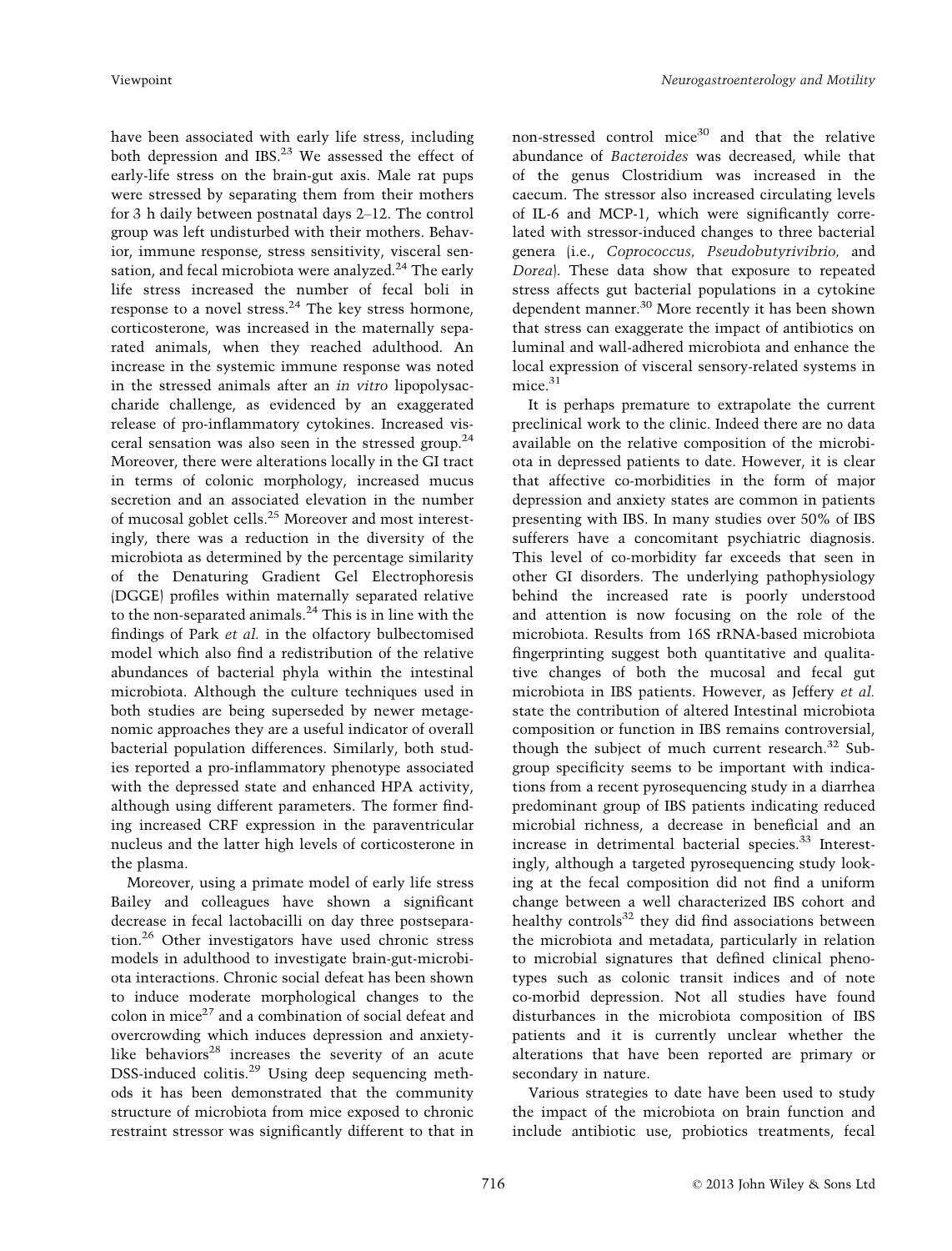have been associated with early life stress, including both depression and IBS.<sup>23</sup> We assessed the effect of early-life stress on the brain-gut axis. Male rat pups were stressed by separating them from their mothers for 3 h daily between postnatal days 2–12. The control group was left undisturbed with their mothers. Behavior, immune response, stress sensitivity, visceral sensation, and fecal microbiota were analyzed.<sup>24</sup> The early life stress increased the number of fecal boli in response to a novel stress.24 The key stress hormone, corticosterone, was increased in the maternally separated animals, when they reached adulthood. An increase in the systemic immune response was noted in the stressed animals after an in vitro lipopolysaccharide challenge, as evidenced by an exaggerated release of pro-inflammatory cytokines. Increased visceral sensation was also seen in the stressed group.<sup>24</sup> Moreover, there were alterations locally in the GI tract in terms of colonic morphology, increased mucus secretion and an associated elevation in the number of mucosal goblet cells.<sup>25</sup> Moreover and most interestingly, there was a reduction in the diversity of the microbiota as determined by the percentage similarity of the Denaturing Gradient Gel Electrophoresis (DGGE) profiles within maternally separated relative to the non-separated animals.<sup>24</sup> This is in line with the findings of Park et al. in the olfactory bulbectomised model which also find a redistribution of the relative abundances of bacterial phyla within the intestinal microbiota. Although the culture techniques used in both studies are being superseded by newer metagenomic approaches they are a useful indicator of overall bacterial population differences. Similarly, both studies reported a pro-inflammatory phenotype associated with the depressed state and enhanced HPA activity, although using different parameters. The former finding increased CRF expression in the paraventricular nucleus and the latter high levels of corticosterone in the plasma.

Moreover, using a primate model of early life stress Bailey and colleagues have shown a significant decrease in fecal lactobacilli on day three postseparation.<sup>26</sup> Other investigators have used chronic stress models in adulthood to investigate brain-gut-microbiota interactions. Chronic social defeat has been shown to induce moderate morphological changes to the colon in mice $^{27}$  and a combination of social defeat and overcrowding which induces depression and anxietylike behaviors $28$  increases the severity of an acute DSS-induced colitis. $^{29}$  Using deep sequencing methods it has been demonstrated that the community structure of microbiota from mice exposed to chronic restraint stressor was significantly different to that in non-stressed control mice<sup>30</sup> and that the relative abundance of Bacteroides was decreased, while that of the genus Clostridium was increased in the caecum. The stressor also increased circulating levels of IL-6 and MCP-1, which were significantly correlated with stressor-induced changes to three bacterial genera (i.e., Coprococcus, Pseudobutyrivibrio, and Dorea). These data show that exposure to repeated stress affects gut bacterial populations in a cytokine dependent manner.<sup>30</sup> More recently it has been shown that stress can exaggerate the impact of antibiotics on luminal and wall-adhered microbiota and enhance the local expression of visceral sensory-related systems in  $mice.<sup>31</sup>$ 

It is perhaps premature to extrapolate the current preclinical work to the clinic. Indeed there are no data available on the relative composition of the microbiota in depressed patients to date. However, it is clear that affective co-morbidities in the form of major depression and anxiety states are common in patients presenting with IBS. In many studies over 50% of IBS sufferers have a concomitant psychiatric diagnosis. This level of co-morbidity far exceeds that seen in other GI disorders. The underlying pathophysiology behind the increased rate is poorly understood and attention is now focusing on the role of the microbiota. Results from 16S rRNA-based microbiota fingerprinting suggest both quantitative and qualitative changes of both the mucosal and fecal gut microbiota in IBS patients. However, as Jeffery et al. state the contribution of altered Intestinal microbiota composition or function in IBS remains controversial, though the subject of much current research. $32$  Subgroup specificity seems to be important with indications from a recent pyrosequencing study in a diarrhea predominant group of IBS patients indicating reduced microbial richness, a decrease in beneficial and an increase in detrimental bacterial species.<sup>33</sup> Interestingly, although a targeted pyrosequencing study looking at the fecal composition did not find a uniform change between a well characterized IBS cohort and healthy controls $32$  they did find associations between the microbiota and metadata, particularly in relation to microbial signatures that defined clinical phenotypes such as colonic transit indices and of note co-morbid depression. Not all studies have found disturbances in the microbiota composition of IBS patients and it is currently unclear whether the alterations that have been reported are primary or secondary in nature.

Various strategies to date have been used to study the impact of the microbiota on brain function and include antibiotic use, probiotics treatments, fecal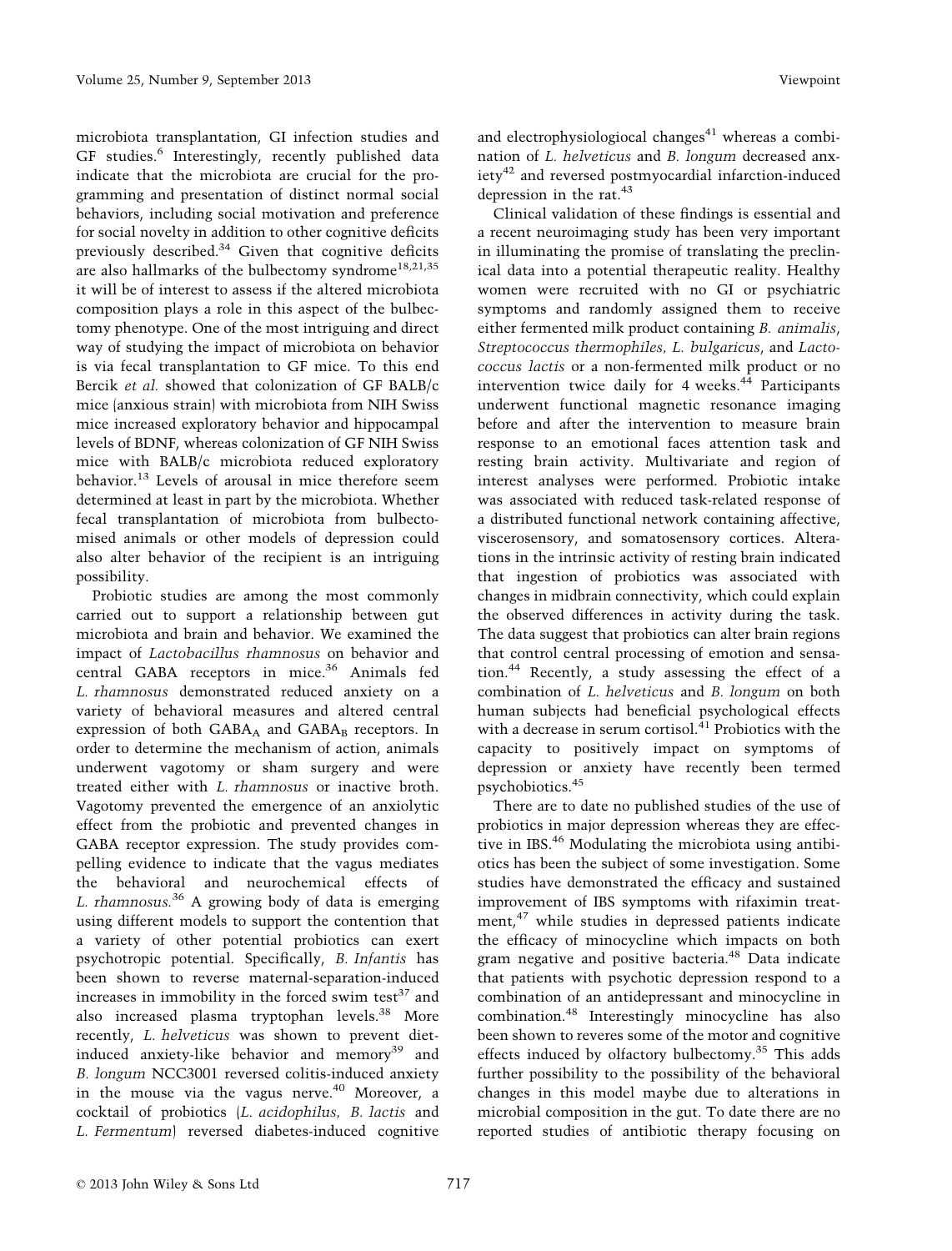microbiota transplantation, GI infection studies and GF studies.<sup>6</sup> Interestingly, recently published data indicate that the microbiota are crucial for the programming and presentation of distinct normal social behaviors, including social motivation and preference for social novelty in addition to other cognitive deficits previously described.<sup>34</sup> Given that cognitive deficits are also hallmarks of the bulbectomy syndrome<sup>18,21,35</sup> it will be of interest to assess if the altered microbiota composition plays a role in this aspect of the bulbectomy phenotype. One of the most intriguing and direct way of studying the impact of microbiota on behavior is via fecal transplantation to GF mice. To this end Bercik et al. showed that colonization of GF BALB/c mice (anxious strain) with microbiota from NIH Swiss mice increased exploratory behavior and hippocampal levels of BDNF, whereas colonization of GF NIH Swiss mice with BALB/c microbiota reduced exploratory behavior.<sup>13</sup> Levels of arousal in mice therefore seem determined at least in part by the microbiota. Whether fecal transplantation of microbiota from bulbectomised animals or other models of depression could also alter behavior of the recipient is an intriguing possibility.

Probiotic studies are among the most commonly carried out to support a relationship between gut microbiota and brain and behavior. We examined the impact of Lactobacillus rhamnosus on behavior and central GABA receptors in mice.<sup>36</sup> Animals fed L. rhamnosus demonstrated reduced anxiety on a variety of behavioral measures and altered central expression of both  $GABA_A$  and  $GABA_B$  receptors. In order to determine the mechanism of action, animals underwent vagotomy or sham surgery and were treated either with L. rhamnosus or inactive broth. Vagotomy prevented the emergence of an anxiolytic effect from the probiotic and prevented changes in GABA receptor expression. The study provides compelling evidence to indicate that the vagus mediates the behavioral and neurochemical effects of L. rhamnosus. $36$  A growing body of data is emerging using different models to support the contention that a variety of other potential probiotics can exert psychotropic potential. Specifically, B. Infantis has been shown to reverse maternal-separation-induced increases in immobility in the forced swim test $37$  and also increased plasma tryptophan levels.<sup>38</sup> More recently, L. helveticus was shown to prevent dietinduced anxiety-like behavior and memory<sup>39</sup> and B. longum NCC3001 reversed colitis-induced anxiety in the mouse via the vagus nerve.<sup>40</sup> Moreover, a cocktail of probiotics (L. acidophilus, B. lactis and L. Fermentum) reversed diabetes-induced cognitive

and electrophysiologiocal changes $41$  whereas a combination of L. helveticus and B. longum decreased anxiety<sup>42</sup> and reversed postmyocardial infarction-induced depression in the rat.<sup>43</sup>

Clinical validation of these findings is essential and a recent neuroimaging study has been very important in illuminating the promise of translating the preclinical data into a potential therapeutic reality. Healthy women were recruited with no GI or psychiatric symptoms and randomly assigned them to receive either fermented milk product containing B. animalis, Streptococcus thermophiles, L. bulgaricus, and Lactococcus lactis or a non-fermented milk product or no intervention twice daily for 4 weeks. $44$  Participants underwent functional magnetic resonance imaging before and after the intervention to measure brain response to an emotional faces attention task and resting brain activity. Multivariate and region of interest analyses were performed. Probiotic intake was associated with reduced task-related response of a distributed functional network containing affective, viscerosensory, and somatosensory cortices. Alterations in the intrinsic activity of resting brain indicated that ingestion of probiotics was associated with changes in midbrain connectivity, which could explain the observed differences in activity during the task. The data suggest that probiotics can alter brain regions that control central processing of emotion and sensation.<sup>44</sup> Recently, a study assessing the effect of a combination of L. helveticus and B. longum on both human subjects had beneficial psychological effects with a decrease in serum cortisol. $41$  Probiotics with the capacity to positively impact on symptoms of depression or anxiety have recently been termed psychobiotics.<sup>45</sup>

There are to date no published studies of the use of probiotics in major depression whereas they are effective in IBS.<sup>46</sup> Modulating the microbiota using antibiotics has been the subject of some investigation. Some studies have demonstrated the efficacy and sustained improvement of IBS symptoms with rifaximin treatment, $47$  while studies in depressed patients indicate the efficacy of minocycline which impacts on both gram negative and positive bacteria.48 Data indicate that patients with psychotic depression respond to a combination of an antidepressant and minocycline in combination.<sup>48</sup> Interestingly minocycline has also been shown to reveres some of the motor and cognitive effects induced by olfactory bulbectomy.<sup>35</sup> This adds further possibility to the possibility of the behavioral changes in this model maybe due to alterations in microbial composition in the gut. To date there are no reported studies of antibiotic therapy focusing on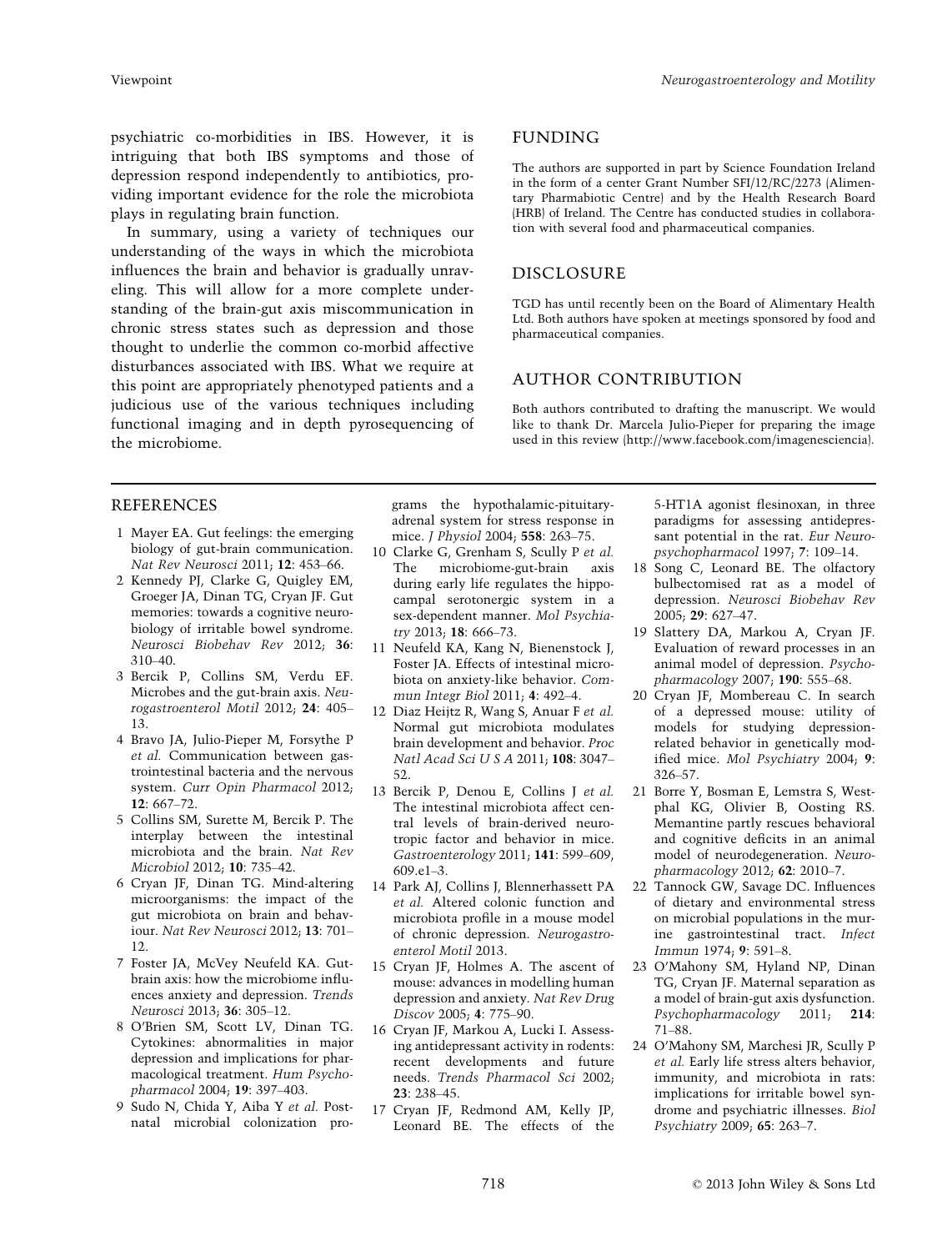psychiatric co-morbidities in IBS. However, it is intriguing that both IBS symptoms and those of depression respond independently to antibiotics, providing important evidence for the role the microbiota plays in regulating brain function.

In summary, using a variety of techniques our understanding of the ways in which the microbiota influences the brain and behavior is gradually unraveling. This will allow for a more complete understanding of the brain-gut axis miscommunication in chronic stress states such as depression and those thought to underlie the common co-morbid affective disturbances associated with IBS. What we require at this point are appropriately phenotyped patients and a judicious use of the various techniques including functional imaging and in depth pyrosequencing of the microbiome.

# FUNDING

The authors are supported in part by Science Foundation Ireland in the form of a center Grant Number SFI/12/RC/2273 (Alimentary Pharmabiotic Centre) and by the Health Research Board (HRB) of Ireland. The Centre has conducted studies in collaboration with several food and pharmaceutical companies.

### DISCLOSURE

TGD has until recently been on the Board of Alimentary Health Ltd. Both authors have spoken at meetings sponsored by food and pharmaceutical companies.

## AUTHOR CONTRIBUTION

Both authors contributed to drafting the manuscript. We would like to thank Dr. Marcela Julio-Pieper for preparing the image used in this review (http://www.facebook.com/imagenesciencia).

# REFERENCES

- 1 Mayer EA. Gut feelings: the emerging biology of gut-brain communication. Nat Rev Neurosci 2011; 12: 453–66.
- 2 Kennedy PJ, Clarke G, Quigley EM, Groeger JA, Dinan TG, Cryan JF. Gut memories: towards a cognitive neurobiology of irritable bowel syndrome. Neurosci Biobehav Rev 2012; 36: 310–40.
- 3 Bercik P, Collins SM, Verdu EF. Microbes and the gut-brain axis. Neurogastroenterol Motil 2012; 24: 405– 13.
- 4 Bravo JA, Julio-Pieper M, Forsythe P et al. Communication between gastrointestinal bacteria and the nervous system. Curr Opin Pharmacol 2012; 12: 667–72.
- 5 Collins SM, Surette M, Bercik P. The interplay between the intestinal microbiota and the brain. Nat Rev Microbiol 2012; 10: 735–42.
- 6 Cryan JF, Dinan TG. Mind-altering microorganisms: the impact of the gut microbiota on brain and behaviour. Nat Rev Neurosci 2012; 13: 701– 12.
- 7 Foster JA, McVey Neufeld KA. Gutbrain axis: how the microbiome influences anxiety and depression. Trends Neurosci 2013; 36: 305–12.
- 8 O'Brien SM, Scott LV, Dinan TG. Cytokines: abnormalities in major depression and implications for pharmacological treatment. Hum Psychopharmacol 2004; 19: 397–403.
- 9 Sudo N, Chida Y, Aiba Y et al. Postnatal microbial colonization pro-

grams the hypothalamic-pituitaryadrenal system for stress response in mice. J Physiol 2004; 558: 263–75.

- 10 Clarke G, Grenham S, Scully P et al.<br>The microbiome-gut-brain axis microbiome-gut-brain axis during early life regulates the hippocampal serotonergic system in a sex-dependent manner. Mol Psychiatry 2013; 18: 666–73.
- 11 Neufeld KA, Kang N, Bienenstock J, Foster JA. Effects of intestinal microbiota on anxiety-like behavior. Commun Integr Biol 2011; 4: 492–4.
- 12 Diaz Heijtz R, Wang S, Anuar F et al. Normal gut microbiota modulates brain development and behavior. Proc Natl Acad Sci U S A 2011; 108: 3047– 52.
- 13 Bercik P, Denou E, Collins J et al. The intestinal microbiota affect central levels of brain-derived neurotropic factor and behavior in mice. Gastroenterology 2011; 141: 599–609,  $609e1-3$
- 14 Park AJ, Collins J, Blennerhassett PA et al. Altered colonic function and microbiota profile in a mouse model of chronic depression. Neurogastroenterol Motil 2013.
- 15 Cryan JF, Holmes A. The ascent of mouse: advances in modelling human depression and anxiety. Nat Rev Drug Discov 2005; 4: 775–90.
- 16 Cryan JF, Markou A, Lucki I. Assessing antidepressant activity in rodents: recent developments and future needs. Trends Pharmacol Sci 2002; 23: 238–45.
- 17 Cryan JF, Redmond AM, Kelly JP, Leonard BE. The effects of the

5-HT1A agonist flesinoxan, in three paradigms for assessing antidepressant potential in the rat. Eur Neuropsychopharmacol 1997; 7: 109–14.

- 18 Song C, Leonard BE. The olfactory bulbectomised rat as a model of depression. Neurosci Biobehav Rev 2005; 29: 627–47.
- 19 Slattery DA, Markou A, Cryan JF. Evaluation of reward processes in an animal model of depression. Psychopharmacology 2007; 190: 555–68.
- 20 Cryan JF, Mombereau C. In search of a depressed mouse: utility of models for studying depressionrelated behavior in genetically modified mice. Mol Psychiatry 2004; 9: 326–57.
- 21 Borre Y, Bosman E, Lemstra S, Westphal KG, Olivier B, Oosting RS. Memantine partly rescues behavioral and cognitive deficits in an animal model of neurodegeneration. Neuropharmacology 2012; 62: 2010–7.
- 22 Tannock GW, Savage DC. Influences of dietary and environmental stress on microbial populations in the murine gastrointestinal tract. Infect Immun 1974; 9: 591–8.
- 23 O'Mahony SM, Hyland NP, Dinan TG, Cryan JF. Maternal separation as a model of brain-gut axis dysfunction. Psychopharmacology 2011; 214: 71–88.
- 24 O'Mahony SM, Marchesi JR, Scully P et al. Early life stress alters behavior, immunity, and microbiota in rats: implications for irritable bowel syndrome and psychiatric illnesses. Biol Psychiatry 2009; 65: 263–7.